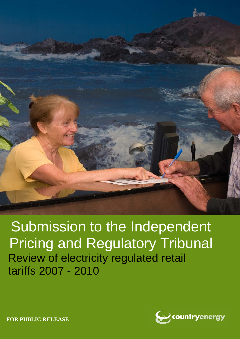

Submission to the Independent Pricing and Regulatory Tribunal Review of electricity regulated retail tariffs 2007 - 2010



**FOR PUBLIC RELEASE**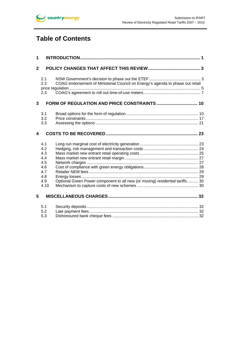

# **Table of Contents**

| 1                |                                                                     |                                                                                |  |
|------------------|---------------------------------------------------------------------|--------------------------------------------------------------------------------|--|
| $\overline{2}$   |                                                                     |                                                                                |  |
|                  | 2.1<br>2.2<br>2.3                                                   | COAG endorsement of Ministerial Council on Energy's agenda to phase out retail |  |
| 3                |                                                                     |                                                                                |  |
|                  | 3.1<br>3.2<br>3.3                                                   |                                                                                |  |
| $\boldsymbol{4}$ |                                                                     |                                                                                |  |
| 5                | 4.1<br>4.2<br>4.3<br>4.4<br>4.5<br>4.6<br>4.7<br>4.8<br>4.9<br>4.10 | Optional Green Power component to all new (or moving) residential tariffs 30   |  |
|                  |                                                                     |                                                                                |  |
|                  | 5.1<br>5.2<br>5.3                                                   |                                                                                |  |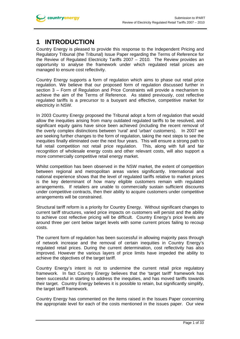# **1 INTRODUCTION**

Country Energy is pleased to provide this response to the Independent Pricing and Regulatory Tribunal (the Tribunal) Issue Paper regarding the Terms of Reference for the Review of Regulated Electricity Tariffs 2007 – 2010. The Review provides an opportunity to analyse the framework under which regulated retail prices are managed to ensure cost reflectivity.

Country Energy supports a form of regulation which aims to phase out retail price regulation. We believe that our proposed form of regulation discussed further in section 3 – Form of Regulation and Price Constraints will provide a mechanism to achieve the aim of the Terms of Reference. As stated previously, cost reflective regulated tariffs is a precursor to a buoyant and effective, competitive market for electricity in NSW.

In 2003 Country Energy proposed the Tribunal adopt a form of regulation that would allow the inequities arising from many outdated regulated tariffs to be resolved, and significant equity gains have since been achieved (including the recent removal of the overly complex distinctions between 'rural' and 'urban' customers). In 2007 we are seeking further changes to the form of regulation, taking the next steps to see the inequities finally eliminated over the next four years. This will ensure a strong path to full retail competition not retail price regulation. This, along with full and fair recognition of wholesale energy costs and other relevant costs, will also support a more commercially competitive retail energy market.

Whilst competition has been observed in the NSW market, the extent of competition between regional and metropolitan areas varies significantly. International and national experience shows that the level of regulated tariffs relative to market prices is the key determinant of how many eligible customers remain with regulated arrangements. If retailers are unable to commercially sustain sufficient discounts under competitive contracts, then their ability to acquire customers under competitive arrangements will be constrained.

Structural tariff reform is a priority for Country Energy. Without significant changes to current tariff structures, varied price impacts on customers will persist and the ability to achieve cost reflective pricing will be difficult. Country Energy's price levels are around three per cent below target levels with some current prices failing to recoup costs.

The current form of regulation has been successful in allowing majority pass through of network increase and the removal of certain inequities in Country Energy's regulated retail prices. During the current determination, cost reflectivity has also improved. However the various layers of price limits have impeded the ability to achieve the objectives of the target tariff.

Country Energy's intent is not to undermine the current retail price regulatory framework. In fact Country Energy believes that the 'target tariff' framework has been successful in starting to address the inequities, and has moved tariffs towards their target. Country Energy believes it is possible to retain, but significantly simplify, the target tariff framework.

Country Energy has commented on the items raised in the Issues Paper concerning the appropriate level for each of the costs mentioned in the issues paper. Our view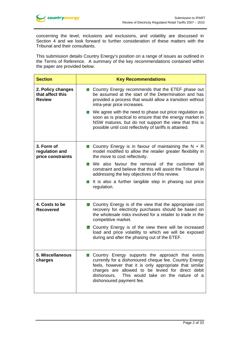concerning the level, inclusions and exclusions, and volatility are discussed in Section 4 and we look forward to further consideration of these matters with the Tribunal and their consultants.

This submission details Country Energy's position on a range of issues as outlined in the Terms of Reference. A summary of the key recommendations contained within the paper are provided below.

| <b>Section</b>                                         | <b>Key Recommendations</b>                                                                                                                                                                                                                                                                                  |  |  |
|--------------------------------------------------------|-------------------------------------------------------------------------------------------------------------------------------------------------------------------------------------------------------------------------------------------------------------------------------------------------------------|--|--|
| 2. Policy changes<br>that affect this<br><b>Review</b> | Country Energy recommends that the ETEF phase out<br><b>Side</b><br>be assumed at the start of the Determination and has<br>provided a process that would allow a transition without<br>intra-year price increases.                                                                                         |  |  |
|                                                        | ■ We agree with the need to phase out price regulation as<br>soon as is practical to ensure that the energy market in<br>NSW matures, but do not support the view that this is<br>possible until cost reflectivity of tariffs is attained.                                                                  |  |  |
| 3. Form of<br>regulation and<br>price constraints      | Country Energy is in favour of maintaining the $N + R$<br>model modified to allow the retailer greater flexibility in<br>the move to cost reflectivity.                                                                                                                                                     |  |  |
|                                                        | <b>Note 20</b> We also favour the removal of the customer bill<br>constraint and believe that this will assist the Tribunal in<br>addressing the key objectives of this review.                                                                                                                             |  |  |
|                                                        | If It is also a further tangible step in phasing out price<br>regulation.                                                                                                                                                                                                                                   |  |  |
| 4. Costs to be<br><b>Recovered</b>                     | <b>Country Energy is of the view that the appropriate cost</b><br>recovery for electricity purchases should be based on<br>the wholesale risks involved for a retailer to trade in the<br>competitive market.                                                                                               |  |  |
|                                                        | Country Energy is of the view there will be increased<br>load and price volatility to which we will be exposed<br>during and after the phasing out of the ETEF.                                                                                                                                             |  |  |
| 5. Miscellaneous<br>charges                            | Country Energy supports the approach that exists<br>currently for a dishonoured cheque fee. Country Energy<br>feels, however that it is only appropriate that similar<br>charges are allowed to be levied for direct debit<br>dishonours.<br>This would take on the nature of a<br>dishonoured payment fee. |  |  |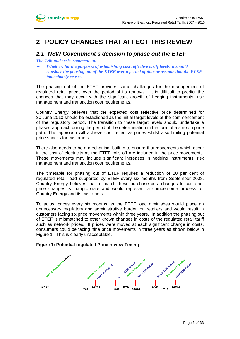# **2 POLICY CHANGES THAT AFFECT THIS REVIEW**

## *2.1 NSW Government's decision to phase out the ETEF*

#### *The Tribunal seeks comment on:*

► *Whether, for the purposes of establishing cost reflective tariff levels, it should consider the phasing out of the ETEF over a period of time or assume that the ETEF immediately ceases.* 

The phasing out of the ETEF provides some challenges for the management of regulated retail prices over the period of its removal. It is difficult to predict the changes that may occur with the significant growth of hedging instruments, risk management and transaction cost requirements.

Country Energy believes that the expected cost reflective price determined for 30 June 2010 should be established as the initial target levels at the commencement of the regulatory period. The transition to these target levels should undertake a phased approach during the period of the determination in the form of a smooth price path. This approach will achieve cost reflective prices whilst also limiting potential price shocks for customers.

There also needs to be a mechanism built in to ensure that movements which occur in the cost of electricity as the ETEF rolls off are included in the price movements. These movements may include significant increases in hedging instruments, risk management and transaction cost requirements.

The timetable for phasing out of ETEF requires a reduction of 20 per cent of regulated retail load supported by ETEF every six months from September 2008. Country Energy believes that to match these purchase cost changes to customer price changes is inappropriate and would represent a cumbersome process for Country Energy and its customers.

To adjust prices every six months as the ETEF load diminishes would place an unnecessary regulatory and administrative burden on retailers and would result in customers facing six price movements within three years. In addition the phasing out of ETEF is mismatched to other known changes in costs of the regulated retail tariff such as network prices. If prices were moved at each significant change in costs, consumers could be facing nine price movements in three years as shown below in Figure 1. This is clearly unacceptable.

### **Figure 1: Potential regulated Price review Timing**

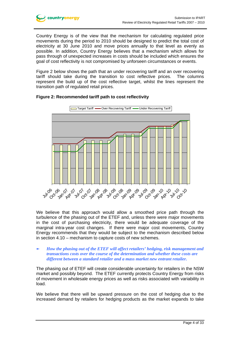Country Energy is of the view that the mechanism for calculating regulated price movements during the period to 2010 should be designed to predict the total cost of electricity at 30 June 2010 and move prices annually to that level as evenly as possible. In addition, Country Energy believes that a mechanism which allows for pass through of unexpected increases in costs should be included which ensures the goal of cost reflectivity is not compromised by unforseen circumstances or events.

Figure 2 below shows the path that an under recovering tariff and an over recovering tariff should take during the transition to cost reflective prices. The columns represent the build up of the cost reflective target, whilst the lines represent the transition path of regulated retail prices.



### **Figure 2: Recommended tariff path to cost reflectivity**

We believe that this approach would allow a smoothed price path through the turbulence of the phasing out of the ETEF and, unless there were major movements in the cost of purchasing electricity, there would be adequate coverage of the marginal intra-year cost changes. If there were major cost movements, Country Energy recommends that they would be subject to the mechanism described below in section 4.10 – mechanism to capture costs of new schemes.

#### ► *How the phasing out of the ETEF will affect retailers' hedging, risk management and transactions costs over the course of the determination and whether these costs are different between a standard retailer and a mass market new entrant retailer.*

The phasing out of ETEF will create considerable uncertainty for retailers in the NSW market and possibly beyond. The ETEF currently protects Country Energy from risks of movement in wholesale energy prices as well as risks associated with variability in load.

We believe that there will be upward pressure on the cost of hedging due to the increased demand by retailers for hedging products as the market expands to take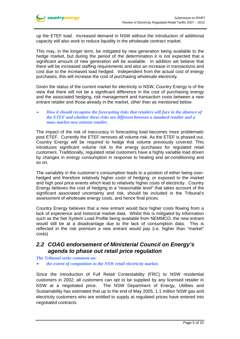

up the ETEF load. Increased demand in NSW without the introduction of additional capacity will also work to reduce liquidity in the wholesale contract market.

This may, in the longer term, be mitigated by new generation being available to the hedge market, but during the period of the determination it is not expected that a significant amount of new generation will be available. In addition we believe that there will be increased staffing requirements and also an increase in transactions and cost due to the increased load hedged. Independent from the actual cost of energy purchases, this will increase the cost of purchasing wholesale electricity.

Given the status of the current market for electricity in NSW, Country Energy is of the view that there will not be a significant difference in the cost of purchasing energy and the associated hedging, risk management and transaction costs between a new entrant retailer and those already in the market, other than as mentioned below.

#### ► *How it should recognise the forecasting risks that retailers will face in the absence of the ETEF and whether these risks are different between a standard retailer and a mass market new entrant retailer.*

The impact of the risk of inaccuracy in forecasting load becomes more problematic post ETEF. Currently the ETEF removes all volume risk. As the ETEF is phased out, Country Energy will be required to hedge that volume previously covered. This introduces significant volume risk to the energy purchases for regulated retail customers. Traditionally, regulated retail customers have a highly variable load driven by changes in energy consumption in response to heating and air-conditioning and so on.

The variability in the customer's consumption leads to a position of either being overhedged and therefore relatively higher costs of hedging; or exposed to the market and high pool price events which lead to relatively higher costs of electricity. Country Energy believes the cost of hedging to a "reasonable level" that takes account of the significant associated uncertainty and risk, should be included in the Tribunal's assessment of wholesale energy costs, and hence final prices.

Country Energy believes that a new entrant would face higher costs flowing from a lack of experience and historical market data. Whilst this is mitigated by information such as the Net System Load Profile being available from NEMMCO, the new entrant would still be at a disadvantage due to the lack of consumption data. This is reflected in the risk premium a new entrant would pay (i.e. higher than "market" costs)

# *2.2 COAG endorsement of Ministerial Council on Energy's agenda to phase out retail price regulation*

*The Tribunal seeks comment on:* 

► *the extent of competition in the NSW retail electricity market.* 

Since the introduction of Full Retail Contestability (FRC) to NSW residential customers in 2002, all customers can opt to be supplied by any licensed retailer in NSW at a negotiated price. The NSW Department of Energy, Utilities and Sustainability has estimated that up to the end of May 2005, 1.1 million NSW gas and electricity customers who are entitled to supply at regulated prices have entered into negotiated contracts.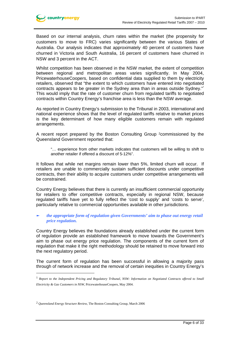

Based on our internal analysis, churn rates within the market (the propensity for customers to move to FRC) varies significantly between the various States of Australia. Our analysis indicates that approximately 40 percent of customers have churned in Victoria and South Australia, 16 percent of customers have churned in NSW and 3 percent in the ACT.

Whilst competition has been observed in the NSW market, the extent of competition between regional and metropolitan areas varies significantly. In May 2004, PricewaterhouseCoopers, based on confidential data supplied to them by electricity retailers, observed that "the extent to which customers have entered into negotiated contracts appears to be greater in the Sydney area than in areas outside Sydney."<sup>1</sup> This would imply that the rate of customer churn from regulated tariffs to negotiated contracts within Country Energy's franchise area is less than the NSW average.

As reported in Country Energy's submission to the Tribunal in 2003, international and national experience shows that the level of regulated tariffs relative to market prices is the key determinant of how many eligible customers remain with regulated arrangements.

A recent report prepared by the Boston Consulting Group 2commissioned by the Queensland Government reported that:

"… experience from other markets indicates that customers will be willing to shift to another retailer if offered a discount of 5-12%".

It follows that while net margins remain lower than 5%, limited churn will occur. If retailers are unable to commercially sustain sufficient discounts under competitive contracts, then their ability to acquire customers under competitive arrangements will be constrained.

Country Energy believes that there is currently an insufficient commercial opportunity for retailers to offer competitive contracts, especially in regional NSW, because regulated tariffs have yet to fully reflect the 'cost to supply' and 'costs to serve', particularly relative to commercial opportunities available in other jurisdictions.

#### ► *the appropriate form of regulation given Governments' aim to phase out energy retail price regulation.*

Country Energy believes the foundations already established under the current form of regulation provide an established framework to move towards the Government's aim to phase out energy price regulation. The components of the current form of regulation that make it the right methodology should be retained to move forward into the next regulatory period.

The current form of regulation has been successful in allowing a majority pass through of network increase and the removal of certain inequities in Country Energy's

<sup>2</sup> *Queensland Energy Structure Review*, The Boston Consulting Group, March 2006

 $\overline{a}$ 

<sup>1</sup> *Report to the Independent Pricing and Regulatory Tribunal, NSW: Information on Negotiated Contracts offered to Small Electricity & Gas Customers in NSW*, PricewaterhouseCoopers, May 2004.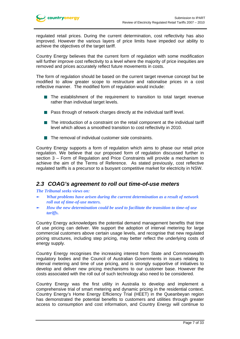

regulated retail prices. During the current determination, cost reflectivity has also improved. However the various layers of price limits have impeded our ability to achieve the objectives of the target tariff.

Country Energy believes that the current form of regulation with some modification will further improve cost reflectivity to a level where the majority of price inequities are removed and prices accurately reflect future movements in costs.

The form of regulation should be based on the current target revenue concept but be modified to allow greater scope to restructure and rationalise prices in a cost reflective manner. The modified form of regulation would include:

- **The establishment of the requirement to transition to total target revenue** rather than individual target levels.
- **Pass through of network charges directly at the individual tariff level.**
- The introduction of a constraint on the retail component at the individual tariff level which allows a smoothed transition to cost reflectivity in 2010.
- $\blacksquare$  The removal of individual customer side constraints.

Country Energy supports a form of regulation which aims to phase our retail price regulation. We believe that our proposed form of regulation discussed further in section 3 – Form of Regulation and Price Constraints will provide a mechanism to achieve the aim of the Terms of Reference. As stated previously, cost reflective regulated tariffs is a precursor to a buoyant competitive market for electricity in NSW.

### *2.3 COAG's agreement to roll out time-of-use meters*

*The Tribunal seeks views on:* 

- ► *What problems have arisen during the current determination as a result of network roll out of time-of-use meters.*
- ► *How the new determination could be used to facilitate the transition to time-of-use tariffs.*

Country Energy acknowledges the potential demand management benefits that time of use pricing can deliver. We support the adoption of interval metering for large commercial customers above certain usage levels, and recognise that new regulated pricing structures, including step pricing, may better reflect the underlying costs of energy supply.

Country Energy recognises the increasing interest from State and Commonwealth regulatory bodies and the Council of Australian Governments in issues relating to interval metering and time of use pricing, and is strongly supportive of initiatives to develop and deliver new pricing mechanisms to our customer base. However the costs associated with the roll out of such technology also need to be considered.

Country Energy was the first utility in Australia to develop and implement a comprehensive trial of smart metering and dynamic pricing in the residential context. Country Energy's Home Energy Efficiency Trial (HEET) in the Queanbeyan region has demonstrated the potential benefits to customers and utilities through greater access to consumption and cost information, and Country Energy will continue to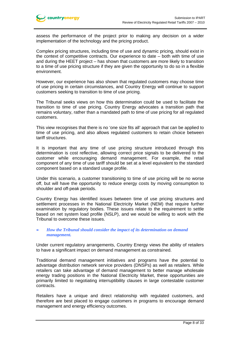assess the performance of the project prior to making any decision on a wider implementation of the technology and the pricing product.

Complex pricing structures, including time of use and dynamic pricing, should exist in the context of competitive contracts. Our experience to date – both with time of use and during the HEET project – has shown that customers are more likely to transition to a time of use pricing structure if they are given the opportunity to do so in a flexible environment.

However, our experience has also shown that regulated customers may choose time of use pricing in certain circumstances, and Country Energy will continue to support customers seeking to transition to time of use pricing.

The Tribunal seeks views on how this determination could be used to facilitate the transition to time of use pricing. Country Energy advocates a transition path that remains voluntary, rather than a mandated path to time of use pricing for all regulated customers.

This view recognises that there is no 'one size fits all' approach that can be applied to time of use pricing, and also allows regulated customers to retain choice between tariff structures.

It is important that any time of use pricing structure introduced through this determination is cost reflective, allowing correct price signals to be delivered to the customer while encouraging demand management. For example, the retail component of any time of use tariff should be set at a level equivalent to the standard component based on a standard usage profile.

Under this scenario, a customer transitioning to time of use pricing will be no worse off, but will have the opportunity to reduce energy costs by moving consumption to shoulder and off-peak periods.

Country Energy has identified issues between time of use pricing structures and settlement processes in the National Electricity Market (NEM) that require further examination by regulatory bodies. These issues relate to the requirement to settle based on net system load profile (NSLP), and we would be willing to work with the Tribunal to overcome these issues.

#### ► *How the Tribunal should consider the impact of its determination on demand management.*

Under current regulatory arrangements, Country Energy views the ability of retailers to have a significant impact on demand management as constrained.

Traditional demand management initiatives and programs have the potential to advantage distribution network service providers (DNSPs) as well as retailers. While retailers can take advantage of demand management to better manage wholesale energy trading positions in the National Electricity Market, these opportunities are primarily limited to negotiating interruptibility clauses in large contestable customer contracts.

Retailers have a unique and direct relationship with regulated customers, and therefore are best placed to engage customers in programs to encourage demand management and energy efficiency outcomes.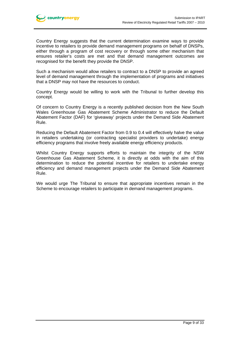

Country Energy suggests that the current determination examine ways to provide incentive to retailers to provide demand management programs on behalf of DNSPs, either through a program of cost recovery or through some other mechanism that ensures retailer's costs are met and that demand management outcomes are recognised for the benefit they provide the DNSP.

Such a mechanism would allow retailers to contract to a DNSP to provide an agreed level of demand management through the implementation of programs and initiatives that a DNSP may not have the resources to conduct.

Country Energy would be willing to work with the Tribunal to further develop this concept.

Of concern to Country Energy is a recently published decision from the New South Wales Greenhouse Gas Abatement Scheme Administrator to reduce the Default Abatement Factor (DAF) for 'giveaway' projects under the Demand Side Abatement Rule.

Reducing the Default Abatement Factor from 0.9 to 0.4 will effectively halve the value in retailers undertaking (or contracting specialist providers to undertake) energy efficiency programs that involve freely available energy efficiency products.

Whilst Country Energy supports efforts to maintain the integrity of the NSW Greenhouse Gas Abatement Scheme, it is directly at odds with the aim of this determination to reduce the potential incentive for retailers to undertake energy efficiency and demand management projects under the Demand Side Abatement Rule.

We would urge The Tribunal to ensure that appropriate incentives remain in the Scheme to encourage retailers to participate in demand management programs.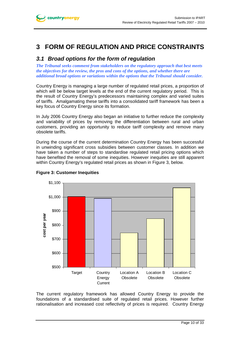# **3 FORM OF REGULATION AND PRICE CONSTRAINTS**

# *3.1 Broad options for the form of regulation*

*The Tribunal seeks comment from stakeholders on the regulatory approach that best meets the objectives for the review, the pros and cons of the options, and whether there are additional broad options or variations within the options that the Tribunal should consider.* 

Country Energy is managing a large number of regulated retail prices, a proportion of which will be below target levels at the end of the current regulatory period. This is the result of Country Energy's predecessors maintaining complex and varied suites of tariffs. Amalgamating these tariffs into a consolidated tariff framework has been a key focus of Country Energy since its formation.

In July 2006 Country Energy also began an initiative to further reduce the complexity and variability of prices by removing the differentiation between rural and urban customers, providing an opportunity to reduce tariff complexity and remove many obsolete tariffs.

During the course of the current determination Country Energy has been successful in unwinding significant cross subsidies between customer classes. In addition we have taken a number of steps to standardise regulated retail pricing options which have benefited the removal of some inequities. However inequities are still apparent within Country Energy's regulated retail prices as shown in Figure 3, below.





The current regulatory framework has allowed Country Energy to provide the foundations of a standardised suite of regulated retail prices. However further rationalisation and increased cost reflectivity of prices is required. Country Energy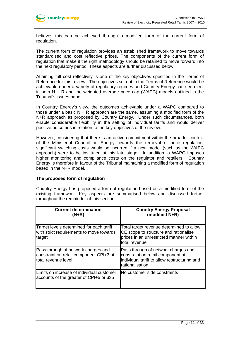

believes this can be achieved through a modified form of the current form of regulation.

The current form of regulation provides an established framework to move towards standardised and cost reflective prices. The components of the current form of regulation that make it the right methodology should be retained to move forward into the next regulatory period. These aspects are further discussed below.

Attaining full cost reflectivity is one of the key objectives specified in the Terms of Reference for this review. The objectives set out in the Terms of Reference would be achievable under a variety of regulatory regimes and Country Energy can see merit in both  $N + R$  and the weighted average price cap (WAPC) models outlined in the Tribunal's issues paper.

In Country Energy's view, the outcomes achievable under a WAPC compared to those under a basic  $N + R$  approach are the same, assuming a modified form of the N+R approach as proposed by Country Energy. Under such circumstances, both enable considerable flexibility in the setting of individual tariffs and would deliver positive outcomes in relation to the key objectives of the review.

However, considering that there is an active commitment within the broader context of the Ministerial Council on Energy towards the removal of price regulation, significant switching costs would be incurred if a new model (such as the WAPC approach) were to be instituted at this late stage. In addition, a WAPC imposes higher monitoring and compliance costs on the regulator and retailers. Country Energy is therefore in favour of the Tribunal maintaining a modified form of regulation based in the N+R model.

### **The proposed form of regulation**

Country Energy has proposed a form of regulation based on a modified form of the existing framework. Key aspects are summarised below and discussed further throughout the remainder of this section.

| <b>Current determination</b><br>$(N+R)$                                                               | <b>Country Energy Proposal</b><br>(modified N+R)                                                                                              |
|-------------------------------------------------------------------------------------------------------|-----------------------------------------------------------------------------------------------------------------------------------------------|
| Target levels determined for each tariff<br>with strict requirements to move towards<br>target        | Total target revenue determined to allow<br>CE scope to structure and rationalise<br>prices in an unrestricted manner within<br>total revenue |
| Pass through of network charges and<br>constraint on retail component CPI+3 at<br>total revenue level | Pass through of network charges and<br>constraint on retail component at<br>individual tariff to allow restructuring and<br>rationalisation   |
| Limits on increase of individual customer<br>accounts of the greater of CPI+5 or \$35                 | No customer side constraints                                                                                                                  |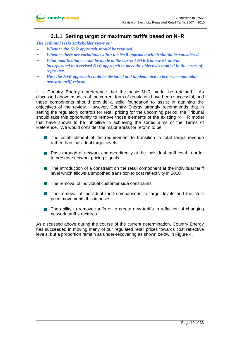

### **3.1.1 Setting target or maximum tariffs based on N+R**

*The Tribunal seeks stakeholder views on:* 

- *Whether the N+R approach should be retained.*
- Whether there are variations within the N+R approach which should be considered.
- ► *What modifications could be made to the current N+R framework and/or incorporated in a revised N+R approach to meet the objectives implied in the terms of reference.*
- How the N+R approach could be designed and implemented to better accommodate *network tariff reform.*

It is Country Energy's preference that the basic N+R model be retained. As discussed above aspects of the current form of regulation have been successful, and these components should provide a solid foundation to assist in attaining the objectives of the review. However, Country Energy strongly recommends that in setting the regulatory controls for retail pricing for the upcoming period, the Tribunal should take this opportunity to remove those elements of the existing  $N + R$  model that have shown to be inhibitive in achieving the stated aims of the Terms of Reference. We would consider the major areas for reform to be:

- The establishment of the requirement to transition to total target revenue rather than individual target levels
- **Pass through of network charges directly at the individual tariff level in order** to preserve network pricing signals
- The introduction of a constraint on the retail component at the individual tariff level which allows a smoothed transition to cost reflectivity in 2010
- $\blacksquare$  The removal of individual customer side constraints
- The removal of individual tariff comparisons to target levels and the strict price movements this imposes
- $\blacksquare$  The ability to remove tariffs or to create new tariffs in reflection of changing network tariff structures

As discussed above during the course of the current determination, Country Energy has succeeded in moving many of our regulated retail prices towards cost reflective levels, but a proportion remain as under-recovering as shown below in Figure 4.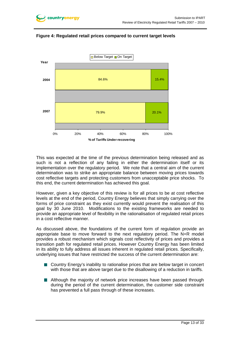



### **Figure 4: Regulated retail prices compared to current target levels**

This was expected at the time of the previous determination being released and as such is not a reflection of any failing in either the determination itself or its implementation over the regulatory period. We note that a central aim of the current determination was to strike an appropriate balance between moving prices towards cost reflective targets and protecting customers from unacceptable price shocks. To this end, the current determination has achieved this goal.

However, given a key objective of this review is for all prices to be at cost reflective levels at the end of the period, Country Energy believes that simply carrying over the forms of price constraint as they exist currently would prevent the realisation of this goal by 30 June 2010. Modifications to the existing frameworks are needed to provide an appropriate level of flexibility in the rationalisation of regulated retail prices in a cost reflective manner.

As discussed above, the foundations of the current form of regulation provide an appropriate base to move forward to the next regulatory period. The N+R model provides a robust mechanism which signals cost reflectivity of prices and provides a transition path for regulated retail prices. However Country Energy has been limited in its ability to fully address all issues inherent in regulated retail prices. Specifically, underlying issues that have restricted the success of the current determination are:

- Country Energy's inability to rationalise prices that are below target in concert with those that are above target due to the disallowing of a reduction in tariffs.
- **Although the majority of network price increases have been passed through** during the period of the current determination, the customer side constraint has prevented a full pass through of these increases.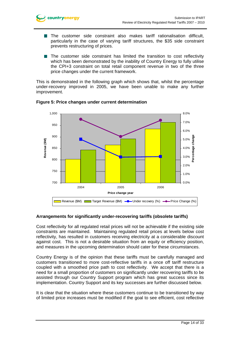

- **The customer side constraint also makes tariff rationalisation difficult,** particularly in the case of varying tariff structures, the \$35 side constraint prevents restructuring of prices.
- The customer side constraint has limited the transition to cost reflectivity which has been demonstrated by the inability of Country Energy to fully utilise the CPI+3 constraint on total retail component revenue in two of the three price changes under the current framework.

This is demonstrated in the following graph which shows that, whilst the percentage under-recovery improved in 2005, we have been unable to make any further improvement.



### **Figure 5: Price changes under current determination**

### **Arrangements for significantly under-recovering tariffs (obsolete tariffs)**

Cost reflectivity for all regulated retail prices will not be achievable if the existing side constraints are maintained. Maintaining regulated retail prices at levels below cost reflectivity, has resulted in customers receiving electricity at a considerable discount against cost. This is not a desirable situation from an equity or efficiency position, and measures in the upcoming determination should cater for these circumstances.

Country Energy is of the opinion that these tariffs must be carefully managed and customers transitioned to more cost-reflective tariffs in a once off tariff restructure coupled with a smoothed price path to cost reflectivity. We accept that there is a need for a small proportion of customers on significantly under recovering tariffs to be assisted through our Country Support program which has great success since its implementation. Country Support and its key successes are further discussed below.

It is clear that the situation where these customers continue to be transitioned by way of limited price increases must be modified if the goal to see efficient, cost reflective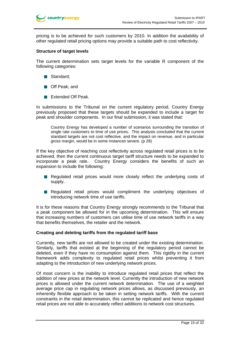pricing is to be achieved for such customers by 2010. In addition the availability of other regulated retail pricing options may provide a suitable path to cost reflectivity.

#### **Structure of target levels**

The current determination sets target levels for the variable R component of the following categories:

- Standard;
- **Deak**: and
- Extended Off Peak.

In submissions to the Tribunal on the current regulatory period, Country Energy previously proposed that these targets should be expanded to include a target for peak and shoulder components. In our final submission, it was stated that:

Country Energy has developed a number of scenarios surrounding the transition of single rate customers to time of use prices. This analysis concluded that the current standard targets are not cost reflective, and the impact on revenue, and in particular gross margin, would be in some instances severe. (p 28)

If the key objective of reaching cost reflectivity across regulated retail prices is to be achieved, then the current continuous target tariff structure needs to be expanded to incorporate a peak rate. Country Energy considers the benefits of such an expansion to include the following:

- Regulated retail prices would more closely reflect the underlying costs of supply.
- **Requiated retail prices would compliment the underlying objectives of** introducing network time of use tariffs.

It is for these reasons that Country Energy strongly recommends to the Tribunal that a peak component be allowed for in the upcoming determination. This will ensure that increasing numbers of customers can utilise time of use network tariffs in a way that benefits themselves, the retailer and the network.

#### **Creating and deleting tariffs from the regulated tariff base**

Currently, new tariffs are not allowed to be created under the existing determination. Similarly, tariffs that existed at the beginning of the regulatory period cannot be deleted, even if they have no consumption against them. This rigidity in the current framework adds complexity to regulated retail prices whilst preventing it from adapting to the introduction of new underlying network prices.

Of most concern is the inability to introduce regulated retail prices that reflect the addition of new prices at the network level. Currently the introduction of new network prices is allowed under the current network determination. The use of a weighted average price cap in regulating network prices allows, as discussed previously, an inherently flexible approach to be taken in setting network tariffs. With the current constraints in the retail determination, this cannot be replicated and hence regulated retail prices are not able to accurately reflect additions to network cost structures.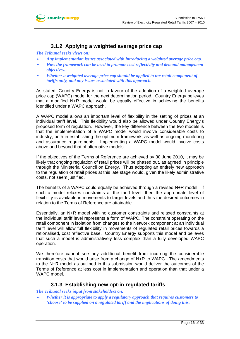

# **3.1.2 Applying a weighted average price cap**

*The Tribunal seeks views on:* 

- ► *Any implementation issues associated with introducing a weighted average price cap.*
- ► *How the framework can be used to promote cost reflectivity and demand management objectives.*
- *Whether a weighted average price cap should be applied to the retail component of tariffs only, and any issues associated with this approach.*

As stated, Country Energy is not in favour of the adoption of a weighted average price cap (WAPC) model for the next determination period. Country Energy believes that a modified N+R model would be equally effective in achieving the benefits identified under a WAPC approach.

A WAPC model allows an important level of flexibility in the setting of prices at an individual tariff level. This flexibility would also be allowed under Country Energy's proposed form of regulation. However, the key difference between the two models is that the implementation of a WAPC model would involve considerable costs to industry, both in establishing the optimum framework, as well as ongoing monitoring and assurance requirements. Implementing a WAPC model would involve costs above and beyond that of alternative models.

If the objectives of the Terms of Reference are achieved by 30 June 2010, it may be likely that ongoing regulation of retail prices will be phased out, as agreed in principle through the Ministerial Council on Energy. Thus adopting an entirely new approach to the regulation of retail prices at this late stage would, given the likely administrative costs, not seem justified.

The benefits of a WAPC could equally be achieved through a revised N+R model. If such a model relaxes constraints at the tariff level, then the appropriate level of flexibility is available in movements to target levels and thus the desired outcomes in relation to the Terms of Reference are attainable.

Essentially, an N+R model with no customer constraints and relaxed constraints at the individual tariff level represents a form of WAPC. The constraint operating on the retail component in isolation from changes to the Network component at an individual tariff level will allow full flexibility in movements of regulated retail prices towards a rationalised, cost reflective base. Country Energy supports this model and believes that such a model is administratively less complex than a fully developed WAPC operation.

We therefore cannot see any additional benefit from incurring the considerable transition costs that would arise from a change of N+R to WAPC. The amendments to the N+R model as outlined in this submission would deliver the outcomes of the Terms of Reference at less cost in implementation and operation than that under a WAPC model.

### **3.1.3 Establishing new opt-in regulated tariffs**

*The Tribunal seeks input from stakeholders on:* 

► *Whether it is appropriate to apply a regulatory approach that requires customers to 'choose' to be supplied on a regulated tariff and the implications of doing this.*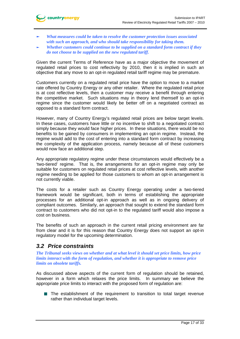- ► *What measures could be taken to resolve the customer protection issues associated with such an approach, and who should take responsibility for taking them.*
- ► *Whether customers could continue to be supplied on a standard form contract if they do not choose to be supplied on the new regulated tariff.*

Given the current Terms of Reference have as a major objective the movement of regulated retail prices to cost reflectivity by 2010, then it is implied in such an objective that any move to an opt-in regulated retail tariff regime may be premature.

Customers currently on a regulated retail price have the option to move to a market rate offered by Country Energy or any other retailer. Where the regulated retail price is at cost reflective levels, then a customer may receive a benefit through entering the competitive market. Such situations may in theory lend themself to an opt-in regime since the customer would likely be better off on a negotiated contract as opposed to a standard form contract.

However, many of Country Energy's regulated retail prices are below target levels. In these cases, customers have little or no incentive to shift to a negotiated contract simply because they would face higher prices. In these situations, there would be no benefits to be gained by consumers in implementing an opt-in regime. Instead, the regime would add to the cost of entering into a standard form contract by increasing the complexity of the application process, namely because all of these customers would now face an additional step.

Any appropriate regulatory regime under these circumstances would effectively be a 'two-tiered' regime. That is, the arrangements for an opt-in regime may only be suitable for customers on regulated retail prices at cost reflective levels, with another regime needing to be applied for those customers to whom an opt-in arrangement is not currently viable.

The costs for a retailer such as Country Energy operating under a two-tiered framework would be significant, both in terms of establishing the appropriate processes for an additional opt-in approach as well as in ongoing delivery of compliant outcomes. Similarly, an approach that sought to extend the standard form contract to customers who did not opt-in to the regulated tariff would also impose a cost on business.

The benefits of such an approach in the current retail pricing environment are far from clear and it is for this reason that Country Energy does not support an opt-in regulatory model for the upcoming determination.

## *3.2 Price constraints*

*The Tribunal seeks views on whether and at what level it should set price limits, how price limits interact with the form of regulation, and whether it is appropriate to remove price limits on obsolete tariffs.* 

As discussed above aspects of the current form of regulation should be retained, however in a form which relaxes the price limits. In summary we believe the appropriate price limits to interact with the proposed form of regulation are:

The establishment of the requirement to transition to total target revenue rather than individual target levels.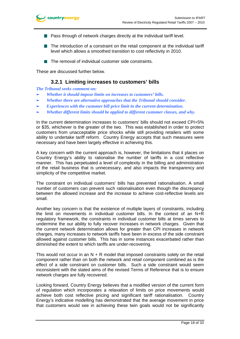

- $\blacksquare$  Pass through of network charges directly at the individual tariff level.
- The introduction of a constraint on the retail component at the individual tariff level which allows a smoothed transition to cost reflectivity in 2010.
- $\blacksquare$  The removal of individual customer side constraints.

These are discussed further below.

### **3.2.1 Limiting increases to customers' bills**

*The Tribunal seeks comment on:* 

- ► *Whether it should impose limits on increases to customers' bills.*
- ► *Whether there are alternative approaches that the Tribunal should consider.*
- Experiences with the customer bill price limit in the current determination.
- ► *Whether different limits should be applied to different customer classes, and why.*

In the current determination increases to customers' bills should not exceed CPI+5% or \$35, whichever is the greater of the two. This was established in order to protect customers from unacceptable price shocks while still providing retailers with some ability to undertake tariff reform. Country Energy accepts that such measures were necessary and have been largely effective in achieving this.

A key concern with the current approach is, however, the limitations that it places on Country Energy's ability to rationalise the number of tariffs in a cost reflective manner. This has perpetuated a level of complexity in the billing and administration of the retail business that is unnecessary, and also impacts the transparency and simplicity of the competitive market.

The constraint on individual customers' bills has prevented rationalisation. A small number of customers can prevent such rationalisation even though the discrepancy between the allowed increase and the increase to achieve cost-reflective levels are small.

Another key concern is that the existence of multiple layers of constraints, including the limit on movements in individual customer bills. In the context of an N+R regulatory framework, the constraints in individual customer bills at times serves to undermine the our ability to fully recover increases in network charges. Given that the current network determination allows for greater than CPI increases in network charges, many increases to network tariffs have been in excess of the side constraint allowed against customer bills. This has in some instances exacerbated rather than diminished the extent to which tariffs are under-recovering.

This would not occur in an  $N + R$  model that imposed constraints solely on the retail component rather than on both the network and retail component combined as is the effect of a side constraint on customer bills. Such a side constraint would seem inconsistent with the stated aims of the revised Terms of Reference that is to ensure network charges are fully recovered.

Looking forward, Country Energy believes that a modified version of the current form of regulation which incorporates a relaxation of limits on price movements would achieve both cost reflective pricing and significant tariff rationalisation. Country Energy's indicative modelling has demonstrated that the average movement in price that customers would see in achieving these twin goals would not be significantly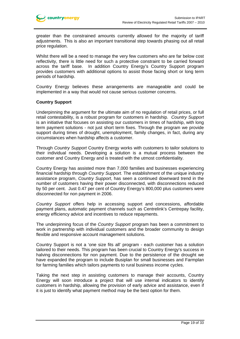greater than the constrained amounts currently allowed for the majority of tariff adjustments. This is also an important transitional step towards phasing out all retail price regulation.

Whilst there will be a need to manage the very few customers who are far below cost reflectivity, there is little need for such a protective constraint to be carried forward across the tariff base. In addition Country Energy's Country Support program provides customers with additional options to assist those facing short or long term periods of hardship.

Country Energy believes these arrangements are manageable and could be implemented in a way that would not cause serious customer concerns.

#### **Country Support**

Underpinning the argument for the ultimate aim of no regulation of retail prices, or full retail contestability, is a robust program for customers in hardship. *Country Support* is an initiative that focuses on assisting our customers in times of hardship, with long term payment solutions - not just short term fixes. Through the program we provide support during times of drought, unemployment, family changes, in fact, during any circumstances when hardship affects a customer.

Through *Country Support* Country Energy works with customers to tailor solutions to their individual needs. Developing a solution is a mutual process between the customer and Country Energy and is treated with the utmost confidentiality.

Country Energy has assisted more than 7,000 families and businesses experiencing financial hardship through *Country Support*. The establishment of the unique industry assistance program, *Country Support*, has seen a continued downward trend in the number of customers having their power disconnected, with disconnections reduced by 50 per cent. Just 0.47 per cent of Country Energy's 800,000 plus customers were disconnected for non payment in 2006.

*Country Support* offers help in accessing support and concessions, affordable payment plans, automatic payment channels such as Centrelink's Centrepay facility, energy efficiency advice and incentives to reduce repayments.

The underpinning focus of the *Country Support* program has been a commitment to work in partnership with individual customers and the broader community to design flexible and responsive account management solutions.

Country Support is not a 'one size fits all' program - each customer has a solution tailored to their needs. This program has been crucial to Country Energy's success in halving disconnections for non payment. Due to the persistence of the drought we have expanded the program to include Busiplan for small businesses and Farmplan for farming families which tailors payments to rural business income cycles.

Taking the next step in assisting customers to manage their accounts, Country Energy will soon introduce a project that will use internal indicators to identify customers in hardship, allowing the provision of early advice and assistance, even if it is just to identify what payment method may be the best option for them.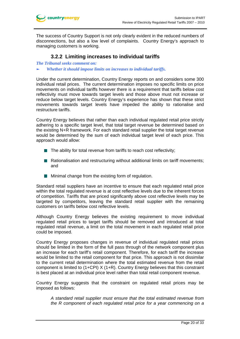

The success of Country Support is not only clearly evident in the reduced numbers of disconnections, but also a low level of complaints. Country Energy's approach to managing customers is working.

### **3.2.2 Limiting increases to individual tariffs**

*The Tribunal seeks comment on:* 

► *Whether it should impose limits on increases to individual tariffs.* 

Under the current determination, Country Energy reports on and considers some 300 individual retail prices. The current determination imposes no specific limits on price movements on individual tariffs however there is a requirement that tariffs below cost reflectivity must move towards target levels and those above must not increase or reduce below target levels. Country Energy's experience has shown that these strict movements towards target levels have impeded the ability to rationalise and restructure tariffs.

Country Energy believes that rather than each individual regulated retail price strictly adhering to a specific target level, that total target revenue be determined based on the existing N+R framework. For each standard retail supplier the total target revenue would be determined by the sum of each individual target level of each price. This approach would allow:

- $\blacksquare$  The ability for total revenue from tariffs to reach cost reflectivity;
- Rationalisation and restructuring without additional limits on tariff movements; and
- **Minimal change from the existing form of regulation.**

Standard retail suppliers have an incentive to ensure that each regulated retail price within the total regulated revenue is at cost reflective levels due to the inherent forces of competition. Tariffs that are priced significantly above cost reflective levels may be targeted by competitors, leaving the standard retail supplier with the remaining customers on tariffs below cost reflective levels.

Although Country Energy believes the existing requirement to move individual regulated retail prices to target tariffs should be removed and introduced at total regulated retail revenue, a limit on the total movement in each regulated retail price could be imposed.

Country Energy proposes changes in revenue of individual regulated retail prices should be limited in the form of the full pass through of the network component plus an increase for each tariff's retail component. Therefore, for each tariff the increase would be limited to the retail component for that price. This approach is not dissimilar to the current retail determination where the total estimated revenue from the retail component is limited to (1+CPI) X (1+R). Country Energy believes that this constraint is best placed at an individual price level rather than total retail component revenue.

Country Energy suggests that the constraint on regulated retail prices may be imposed as follows:

*A standard retail supplier must ensure that the total estimated revenue from the R component of each regulated retail price for a year commencing on a*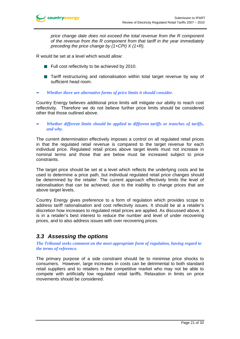*price change date does not exceed the total revenue from the R component of the revenue from the R component from that tariff in the year immediately preceding the price change by (1+CPI) X (1+R).* 

R would be set at a level which would allow:

- **Full cost reflectivity to be achieved by 2010.**
- Tariff restructuring and rationalisation within total target revenue by way of sufficient head room.
- ► *Whether there are alternative forms of price limits it should consider.*

Country Energy believes additional price limits will mitigate our ability to reach cost reflectivity. Therefore we do not believe further price limits should be considered other that those outlined above.

#### ► *Whether different limits should be applied to different tariffs or tranches of tariffs, and why.*

The current determination effectively imposes a control on all regulated retail prices in that the regulated retail revenue is compared to the target revenue for each individual price. Regulated retail prices above target levels must not increase in nominal terms and those that are below must be increased subject to price constraints.

The target price should be set at a level which reflects the underlying costs and be used to determine a price path, but individual regulated retail price changes should be determined by the retailer. The current approach effectively limits the level of rationalisation that can be achieved, due to the inability to change prices that are above target levels.

Country Energy gives preference to a form of regulation which provides scope to address tariff rationalisation and cost reflectivity issues. It should be at a retailer's discretion how increases to regulated retail prices are applied. As discussed above, it is in a retailer's best interest to reduce the number and level of under recovering prices, and to also address issues with over recovering prices.

# *3.3 Assessing the options*

*The Tribunal seeks comment on the most appropriate form of regulation, having regard to the terms of reference.* 

The primary purpose of a side constraint should be to minimise price shocks to consumers. However, large increases in costs can be detrimental to both standard retail suppliers and to retailers in the competitive market who may not be able to compete with artificially low regulated retail tariffs. Relaxation in limits on price movements should be considered.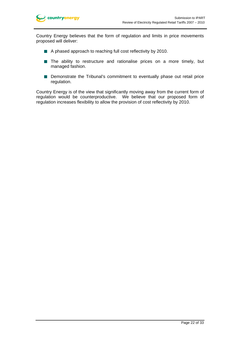

Country Energy believes that the form of regulation and limits in price movements proposed will deliver:

- A phased approach to reaching full cost reflectivity by 2010.
- The ability to restructure and rationalise prices on a more timely, but managed fashion.
- **Demonstrate the Tribunal's commitment to eventually phase out retail price** regulation.

Country Energy is of the view that significantly moving away from the current form of regulation would be counterproductive. We believe that our proposed form of regulation increases flexibility to allow the provision of cost reflectivity by 2010.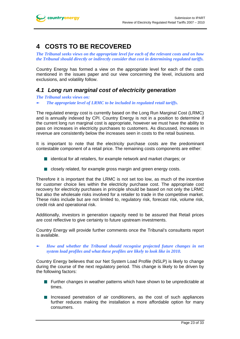# **4 COSTS TO BE RECOVERED**

*The Tribunal seeks views on the appropriate level for each of the relevant costs and on how the Tribunal should directly or indirectly consider that cost in determining regulated tariffs.* 

Country Energy has formed a view on the appropriate level for each of the costs mentioned in the issues paper and our view concerning the level, inclusions and exclusions, and volatility follow.

# *4.1 Long run marginal cost of electricity generation*

*The Tribunal seeks views on:* 

► *The appropriate level of LRMC to be included in regulated retail tariffs.* 

The regulated energy cost is currently based on the Long Run Marginal Cost (LRMC) and is annually indexed by CPI. Country Energy is not in a position to determine if the current long run marginal cost is appropriate, however we must have the ability to pass on increases in electricity purchases to customers. As discussed, increases in revenue are consistently below the increases seen in costs to the retail business.

It is important to note that the electricity purchase costs are the predominant contestable component of a retail price. The remaining costs components are either:

- $\blacksquare$  identical for all retailers, for example network and market charges; or
- closely related, for example gross margin and green energy costs.

Therefore it is important that the LRMC is not set too low, as much of the incentive for customer choice lies within the electricity purchase cost. The appropriate cost recovery for electricity purchases in principle should be based on not only the LRMC but also the wholesale risks involved for a retailer to trade in the competitive market. These risks include but are not limited to, regulatory risk, forecast risk, volume risk, credit risk and operational risk.

Additionally, investors in generation capacity need to be assured that Retail prices are cost reflective to give certainty to future upstream investments.

Country Energy will provide further comments once the Tribunal's consultants report is available.

► *How and whether the Tribunal should recognise projected future changes in net system load profiles and what these profiles are likely to look like in 2010.* 

Country Energy believes that our Net System Load Profile (NSLP) is likely to change during the course of the next regulatory period. This change is likely to be driven by the following factors:

- **Further changes in weather patterns which have shown to be unpredictable at Algebra** times.
- Increased penetration of air conditioners, as the cost of such appliances further reduces making the installation a more affordable option for many consumers.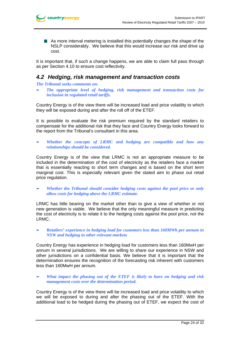As more interval metering is installed this potentially changes the shape of the NSLP considerably. We believe that this would increase our risk and drive up cost.

It is important that, if such a change happens, we are able to claim full pass through as per Section 4.10 to ensure cost reflectivity.

### *4.2 Hedging, risk management and transaction costs*

#### *The Tribunal seeks comments on:*

► *The appropriate level of hedging, risk management and transaction costs for inclusion in regulated retail tariffs.* 

Country Energy is of the view there will be increased load and price volatility to which they will be exposed during and after the roll off of the ETEF.

It is possible to evaluate the risk premium required by the standard retailers to compensate for the additional risk that they face and Country Energy looks forward to the report from the Tribunal's consultant in this area.

► *Whether the concepts of LRMC and hedging are compatible and how any relationships should be considered.* 

Country Energy is of the view that LRMC is not an appropriate measure to be included in the determination of the cost of electricity as the retailers face a market that is essentially reacting to short term changes and is based on the short term marginal cost. This is especially relevant given the stated aim to phase out retail price regulation.

► *Whether the Tribunal should consider hedging costs against the pool price or only allow costs for hedging above the LRMC estimate.* 

LRMC has little bearing on the market other than to give a view of whether or not new generation is viable. We believe that the only meaningful measure in predicting the cost of electricity is to relate it to the hedging costs against the pool price, not the LRMC.

► *Retailers' experience in hedging load for customers less than 160MWh per annum in NSW and hedging in other relevant markets* 

Country Energy has experience in hedging load for customers less than 160MwH per annum in several jurisdictions. We are willing to share our experience in NSW and other jurisdictions on a confidential basis. We believe that it is important that the determination ensures the recognition of the forecasting risk inherent with customers less than 160MwH per annum.

What impact the phasing out of the ETEF is likely to have on hedging and risk *management costs over the determination period.* 

Country Energy is of the view there will be increased load and price volatility to which we will be exposed to during and after the phasing out of the ETEF. With the additional load to be hedged during the phasing out of ETEF, we expect the cost of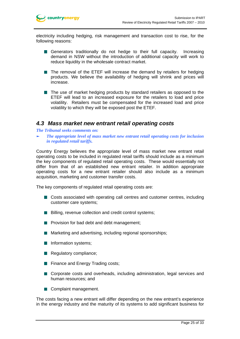electricity including hedging, risk management and transaction cost to rise, for the following reasons:

- Generators traditionally do not hedge to their full capacity. Increasing demand in NSW without the introduction of additional capacity will work to reduce liquidity in the wholesale contract market.
- The removal of the ETEF will increase the demand by retailers for hedging products. We believe the availability of hedging will shrink and prices will increase.
- The use of market hedging products by standard retailers as opposed to the ETEF will lead to an increased exposure for the retailers to load and price volatility. Retailers must be compensated for the increased load and price volatility to which they will be exposed post the ETEF.

### *4.3 Mass market new entrant retail operating costs*

*The Tribunal seeks comments on:* 

► *The appropriate level of mass market new entrant retail operating costs for inclusion in regulated retail tariffs.* 

Country Energy believes the appropriate level of mass market new entrant retail operating costs to be included in regulated retail tariffs should include as a minimum the key components of regulated retail operating costs. These would essentially not differ from that of an established new entrant retailer. In addition appropriate operating costs for a new entrant retailer should also include as a minimum acquisition, marketing and customer transfer costs.

The key components of regulated retail operating costs are:

- Costs associated with operating call centres and customer centres, including customer care systems;
- **Billing, revenue collection and credit control systems;**
- $\blacksquare$  Provision for bad debt and debt management;
- **Marketing and advertising, including regional sponsorships;**
- **Information systems;**
- Regulatory compliance;
- **Finance and Energy Trading costs;**
- Corporate costs and overheads, including administration, legal services and human resources; and
- Complaint management.

The costs facing a new entrant will differ depending on the new entrant's experience in the energy industry and the maturity of its systems to add significant business for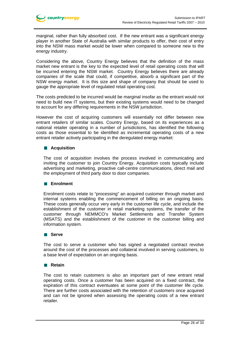marginal, rather than fully absorbed cost. If the new entrant was a significant energy player in another State of Australia with similar products to offer, their cost of entry into the NSW mass market would be lower when compared to someone new to the energy industry.

Considering the above, Country Energy believes that the definition of the mass market new entrant is the key to the expected level of retail operating costs that will be incurred entering the NSW market. Country Energy believes there are already companies of the scale that could, if competitive, absorb a significant part of the NSW energy market. It is this size and shape of company that should be used to gauge the appropriate level of regulated retail operating cost.

The costs predicted to be incurred would be marginal insofar as the entrant would not need to build new IT systems, but their existing systems would need to be changed to account for any differing requirements in the NSW jurisdiction.

However the cost of acquiring customers will essentially not differ between new entrant retailers of similar scales. Country Energy, based on its experiences as a national retailer operating in a number of jurisdictions, has identified the following costs as those essential to be identified as incremental operating costs of a new entrant retailer actively participating in the deregulated energy market:

### **Acquisition**

The cost of acquisition involves the process involved in communicating and inviting the customer to join Country Energy. Acquisition costs typically include advertising and marketing, proactive call-centre communications, direct mail and the employment of third party door to door companies.

### **Enrolment**

Enrolment costs relate to "processing" an acquired customer through market and internal systems enabling the commencement of billing on an ongoing basis. These costs generally occur very early in the customer life cycle, and include the establishment of the customer in retail marketing systems, the transfer of the customer through NEMMCO's Market Settlements and Transfer System (MSATS) and the establishment of the customer in the customer billing and information system.

### **Serve**

The cost to serve a customer who has signed a negotiated contract revolve around the cost of the processes and collateral involved in serving customers, to a base level of expectation on an ongoing basis.

### **Retain**

The cost to retain customers is also an important part of new entrant retail operating costs. Once a customer has been acquired on a fixed contract, the expiration of this contract eventuates at some point of the customer life cycle. There are further costs associated with the retention of customers once acquired and can not be ignored when assessing the operating costs of a new entrant retailer.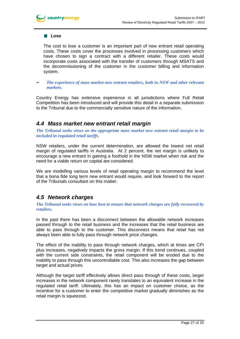#### **Lose**

The cost to lose a customer is an important part of new entrant retail operating costs. These costs cover the processes involved in processing customers which have chosen to sign a contract with a different retailer. These costs would incorporate costs associated with the transfer of customers through MSATS and the decommissioning of the customer in the customer billing and information system.

► *The experience of mass market new entrant retailers, both in NSW and other relevant markets.* 

Country Energy has extensive experience in all jurisdictions where Full Retail Competition has been introduced and will provide this detail in a separate submission to the Tribunal due to the commercially sensitive nature of the information.

### *4.4 Mass market new entrant retail margin*

*The Tribunal seeks views on the appropriate mass market new entrant retail margin to be included in regulated retail tariffs.* 

NSW retailers, under the current determination, are allowed the lowest net retail margin of regulated tariffs in Australia. At 2 percent, the net margin is unlikely to encourage a new entrant in gaining a foothold in the NSW market when risk and the need for a viable return on capital are considered.

We are modelling various levels of retail operating margin to recommend the level that a bona fide long term new entrant would require, and look forward to the report of the Tribunals consultant on this matter.

## *4.5 Network charges*

*The Tribunal seeks views on how best to ensure that network charges are fully recovered by retailers.* 

In the past there has been a disconnect between the allowable network increases passed through to the retail business and the increases that the retail business are able to pass through to the customer. This disconnect means that retail has not always been able to fully pass through network price changes.

The effect of the inability to pass through network charges, which at times are CPI plus increases, negatively impacts the gross margin. If this trend continues, coupled with the current side constraints, the retail component will be eroded due to the inability to pass through this uncontrollable cost. This also increases the gap between target and actual prices.

Although the target tariff effectively allows direct pass through of these costs, larger increases in the network component rarely translates to an equivalent increase in the regulated retail tariff. Ultimately, this has an impact on customer choice, as the incentive for a customer to enter the competitive market gradually diminishes as the retail margin is squeezed.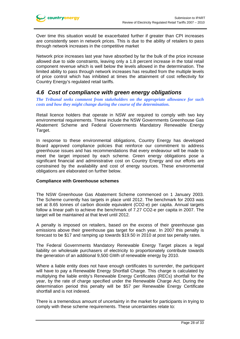Over time this situation would be exacerbated further if greater than CPI increases are consistently seen in network prices. This is due to the ability of retailers to pass through network increases in the competitive market

Network price increases last year have absorbed by far the bulk of the price increase allowed due to side constraints, leaving only a 1.8 percent increase in the total retail component revenue which is well below the levels allowed in the determination. The limited ability to pass through network increases has resulted from the multiple levels of price control which has inhibited at times the attainment of cost reflectivity for Country Energy's regulated retail tariffs.

### *4.6 Cost of compliance with green energy obligations*

*The Tribunal seeks comment from stakeholders on the appropriate allowance for such costs and how they might change during the course of the determination.* 

Retail licence holders that operate in NSW are required to comply with two key environmental requirements. These include the NSW Governments Greenhouse Gas Abatement Scheme and Federal Governments Mandatory Renewable Energy Target.

In response to these environmental obligations, Country Energy has developed Board approved compliance policies that reinforce our commitment to address greenhouse issues and has recommendations that every endeavour will be made to meet the target imposed by each scheme. Green energy obligations pose a significant financial and administrative cost on Country Energy and our efforts are constrained by the availability and cost of energy sources. These environmental obligations are elaborated on further below.

### **Compliance with Greenhouse schemes**

The NSW Greenhouse Gas Abatement Scheme commenced on 1 January 2003. The Scheme currently has targets in place until 2012. The benchmark for 2003 was set at 8.65 tonnes of carbon dioxide equivalent (CO2-e) per capita. Annual targets follow a linear path to achieve the benchmark of 7.27 CO2-e per capita in 2007. The target will be maintained at that level until 2012.

A penalty is imposed on retailers, based on the excess of their greenhouse gas emissions above their greenhouse gas target for each year. In 2007 this penalty is forecast to be \$17 and ramping up towards \$19.50 in 2010 at post tax penalty rates.

The Federal Governments Mandatory Renewable Energy Target places a legal liability on wholesale purchasers of electricity to proportionately contribute towards the generation of an additional 9,500 GWh of renewable energy by 2010.

Where a liable entity does not have enough certificates to surrender, the participant will have to pay a Renewable Energy Shortfall Charge. This charge is calculated by multiplying the liable entity's Renewable Energy Certificates (RECs) shortfall for the year, by the rate of charge specified under the Renewable Charge Act. During the determination period this penalty will be \$57 per Renewable Energy Certificate shortfall and is not indexed.

There is a tremendous amount of uncertainty in the market for participants in trying to comply with these scheme requirements. These uncertainties relate to: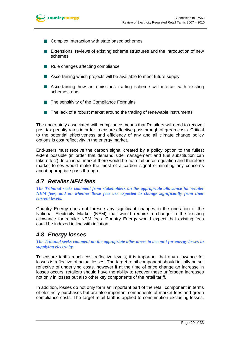

- Complex Interaction with state based schemes
- **Extensions, reviews of existing scheme structures and the introduction of new** schemes
- $\blacksquare$  Rule changes affecting compliance
- Ascertaining which projects will be available to meet future supply
- Ascertaining how an emissions trading scheme will interact with existing schemes; and
- $\blacksquare$  The sensitivity of the Compliance Formulas
- $\blacksquare$  The lack of a robust market around the trading of renewable instruments

The uncertainty associated with compliance means that Retailers will need to recover post tax penalty rates in order to ensure effective passthrough of green costs. Critical to the potential effectiveness and efficiency of any and all climate change policy options is cost reflectivity in the energy market.

End-users must receive the carbon signal created by a policy option to the fullest extent possible (in order that demand side management and fuel substitution can take effect). In an ideal market there would be no retail price regulation and therefore market forces would make the most of a carbon signal eliminating any concerns about appropriate pass through.

### *4.7 Retailer NEM fees*

*The Tribunal seeks comment from stakeholders on the appropriate allowance for retailer NEM fees, and on whether these fees are expected to change significantly from their current levels.* 

Country Energy does not foresee any significant changes in the operation of the National Electricity Market (NEM) that would require a change in the existing allowance for retailer NEM fees. Country Energy would expect that existing fees could be indexed in line with inflation.

## *4.8 Energy losses*

*The Tribunal seeks comment on the appropriate allowances to account for energy losses in supplying electricity.* 

To ensure tariffs reach cost reflective levels, it is important that any allowance for losses is reflective of actual losses. The target retail component should initially be set reflective of underlying costs, however if at the time of price change an increase in losses occurs, retailers should have the ability to recover these unforseen increases not only in losses but also other key components of the retail tariff.

In addition, losses do not only form an important part of the retail component in terms of electricity purchases but are also important components of market fees and green compliance costs. The target retail tariff is applied to consumption excluding losses,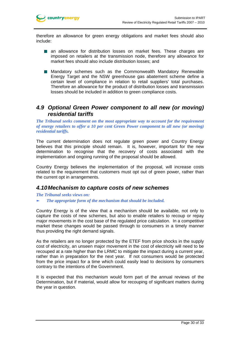

therefore an allowance for green energy obligations and market fees should also include:

- an allowance for distribution losses on market fees. These charges are imposed on retailers at the transmission node, therefore any allowance for market fees should also include distribution losses; and
- **Mandatory schemes such as the Commonwealth Mandatory Renewable** Energy Target and the NSW greenhouse gas abatement scheme define a certain level of compliance in relation to retail suppliers' total purchases. Therefore an allowance for the product of distribution losses and transmission losses should be included in addition to green compliance costs.

## *4.9 Optional Green Power component to all new (or moving) residential tariffs*

*The Tribunal seeks comment on the most appropriate way to account for the requirement of energy retailers to offer a 10 per cent Green Power component to all new (or moving) residential tariffs.* 

The current determination does not regulate green power and Country Energy believes that this principle should remain. It is, however, important for the new determination to recognise that the recovery of costs associated with the implementation and ongoing running of the proposal should be allowed.

Country Energy believes the implementation of the proposal, will increase costs related to the requirement that customers must opt out of green power, rather than the current opt in arrangements.

### *4.10 Mechanism to capture costs of new schemes*

*The Tribunal seeks views on:* 

#### *The appropriate form of the mechanism that should be included.*

Country Energy is of the view that a mechanism should be available, not only to capture the costs of new schemes, but also to enable retailers to recoup or repay major movements in the cost base of the regulated price calculation. In a competitive market these changes would be passed through to consumers in a timely manner thus providing the right demand signals.

As the retailers are no longer protected by the ETEF from price shocks in the supply cost of electricity, an unseen major movement in the cost of electricity will need to be recouped at a rate higher than the LRMC to mitigate the impact during a current year, rather than in preparation for the next year. If not consumers would be protected from the price impact for a time which could easily lead to decisions by consumers contrary to the intentions of the Government.

It is expected that this mechanism would form part of the annual reviews of the Determination, but if material, would allow for recouping of significant matters during the year in question.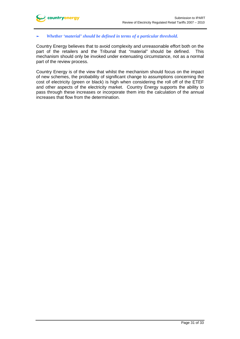

#### ► *Whether 'material' should be defined in terms of a particular threshold.*

Country Energy believes that to avoid complexity and unreasonable effort both on the part of the retailers and the Tribunal that "material" should be defined. This mechanism should only be invoked under extenuating circumstance, not as a normal part of the review process.

Country Energy is of the view that whilst the mechanism should focus on the impact of new schemes, the probability of significant change to assumptions concerning the cost of electricity (green or black) is high when considering the roll off of the ETEF and other aspects of the electricity market. Country Energy supports the ability to pass through these increases or incorporate them into the calculation of the annual increases that flow from the determination.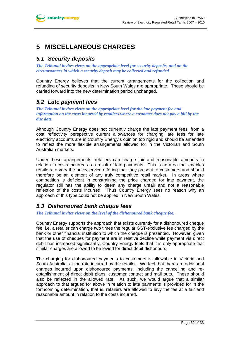# **5 MISCELLANEOUS CHARGES**

# *5.1 Security deposits*

*The Tribunal invites views on the appropriate level for security deposits, and on the circumstances in which a security deposit may be collected and refunded.* 

Country Energy believes that the current arrangements for the collection and refunding of security deposits in New South Wales are appropriate. These should be carried forward into the new determination period unchanged.

# *5.2 Late payment fees*

*The Tribunal invites views on the appropriate level for the late payment fee and information on the costs incurred by retailers where a customer does not pay a bill by the due date.* 

Although Country Energy does not currently charge the late payment fees, from a cost reflectivity perspective current allowances for charging late fees for late electricity accounts are in Country Energy's opinion too rigid and should be amended to reflect the more flexible arrangements allowed for in the Victorian and South Australian markets.

Under these arrangements, retailers can charge fair and reasonable amounts in relation to costs incurred as a result of late payments. This is an area that enables retailers to vary the price/service offering that they present to customers and should therefore be an element of any truly competitive retail market. In areas where competition is deficient in constraining the price charged for late payment, the regulator still has the ability to deem any charge unfair and not a reasonable reflection of the costs incurred. Thus Country Energy sees no reason why an approach of this type could not be applied in New South Wales.

# *5.3 Dishonoured bank cheque fees*

*The Tribunal invites views on the level of the dishonoured bank cheque fee.*

Country Energy supports the approach that exists currently for a dishonoured cheque fee, i.e. a retailer can charge two times the regular GST-exclusive fee charged by the bank or other financial institution to which the cheque is presented. However, given that the use of cheques for payment are in relative decline while payment via direct debit has increased significantly, Country Energy feels that it is only appropriate that similar charges are allowed to be levied for direct debit dishonours.

The charging for dishonoured payments to customers is allowable in Victoria and South Australia, at the rate incurred by the retailer. We feel that there are additional charges incurred upon dishonoured payments, including the cancelling and reestablishment of direct debit plans, customer contact and mail outs. These should also be reflected in the allowed rate. As such, we would argue that a similar approach to that argued for above in relation to late payments is provided for in the forthcoming determination, that is, retailers are allowed to levy the fee at a fair and reasonable amount in relation to the costs incurred.